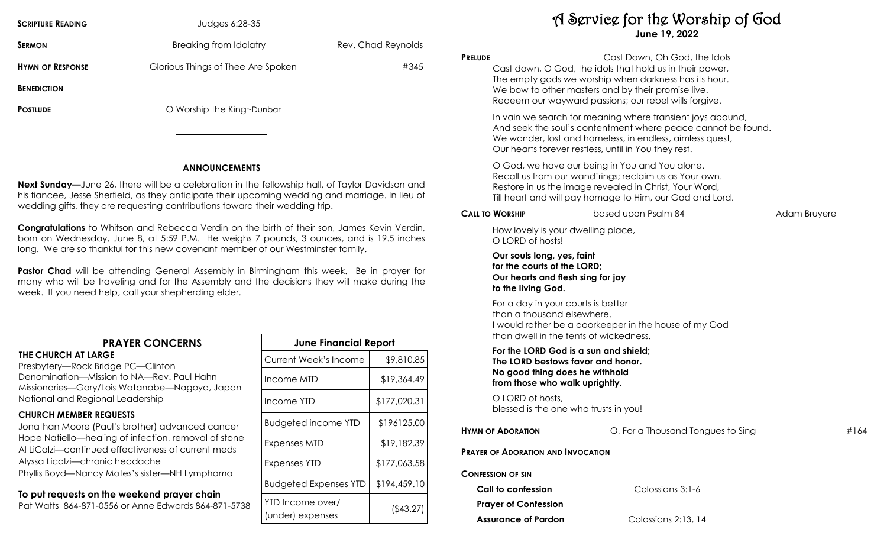| <b>SCRIPTURE READING</b> | Judges 6:28-35                     |                    |
|--------------------------|------------------------------------|--------------------|
| <b>SERMON</b>            | Breaking from Idolatry             | Rev. Chad Reynolds |
| <b>HYMN OF RESPONSE</b>  | Glorious Things of Thee Are Spoken | #345               |
| <b>BENEDICTION</b>       |                                    |                    |
| <b>POSTLUDE</b>          | O Worship the King~Dunbar          |                    |
|                          |                                    |                    |

#### **ANNOUNCEMENTS**

**Next Sunday—**June 26, there will be a celebration in the fellowship hall, of Taylor Davidson and his fiancee, Jesse Sherfield, as they anticipate their upcoming wedding and marriage. In lieu of wedding gifts, they are requesting contributions toward their wedding trip.

**Congratulations** to Whitson and Rebecca Verdin on the birth of their son, James Kevin Verdin, born on Wednesday, June 8, at 5:59 P.M. He weighs 7 pounds, 3 ounces, and is 19.5 inches long. We are so thankful for this new covenant member of our Westminster family.

**Pastor Chad** will be attending General Assembly in Birmingham this week. Be in prayer for many who will be traveling and for the Assembly and the decisions they will make during the week. If you need help, call your shepherding elder.

# **PRAYER CONCERNS**

**THE CHURCH AT LARGE**  Presbytery—Rock Bridge PC—Clinton Denomination—Mission to NA—Rev. Paul Hahn Missionaries—Gary/Lois Watanabe—Nagoya, Japan National and Regional Leadership

## **CHURCH MEMBER REQUESTS**

Jonathan Moore (Paul's brother) advanced cancer Hope Natiello—healing of infection, removal of stone Al LiCalzi—continued effectiveness of current meds Alyssa Licalzi—chronic headache Phyllis Boyd—Nancy Motes's sister—NH Lymphoma

# **To put requests on the weekend prayer chain**

Pat Watts 864-871-0556 or Anne Edwards 864-871-5738

| <b>June Financial Report</b>         |              |  |  |  |
|--------------------------------------|--------------|--|--|--|
| Current Week's Income                | \$9,810.85   |  |  |  |
| Income MTD                           | \$19,364.49  |  |  |  |
| Income YTD                           | \$177,020.31 |  |  |  |
| <b>Budgeted income YTD</b>           | \$196125.00  |  |  |  |
| Expenses MTD                         | \$19,182.39  |  |  |  |
| Expenses YTD                         | \$177,063.58 |  |  |  |
| <b>Budgeted Expenses YTD</b>         | \$194,459.10 |  |  |  |
| YTD Income over/<br>(under) expenses | (\$43.27)    |  |  |  |

A Service for the Worship of God **June 19, 2022**

| <b>PRELUDE</b> |                                                                                                                                                | Cast Down, Oh God, the Idols<br>Cast down, O God, the idols that hold us in their power,<br>The empty gods we worship when darkness has its hour.<br>We bow to other masters and by their promise live.<br>Redeem our wayward passions; our rebel wills forgive. |              |      |
|----------------|------------------------------------------------------------------------------------------------------------------------------------------------|------------------------------------------------------------------------------------------------------------------------------------------------------------------------------------------------------------------------------------------------------------------|--------------|------|
|                |                                                                                                                                                | In vain we search for meaning where transient joys abound,<br>And seek the soul's contentment where peace cannot be found.<br>We wander, lost and homeless, in endless, aimless quest,<br>Our hearts forever restless, until in You they rest.                   |              |      |
|                |                                                                                                                                                | O God, we have our being in You and You alone.<br>Recall us from our wand'rings; reclaim us as Your own.<br>Restore in us the image revealed in Christ, Your Word,<br>Till heart and will pay homage to Him, our God and Lord.                                   |              |      |
|                | <b>CALL TO WORSHIP</b>                                                                                                                         | based upon Psalm 84                                                                                                                                                                                                                                              | Adam Bruyere |      |
|                | How lovely is your dwelling place,<br>O LORD of hosts!                                                                                         |                                                                                                                                                                                                                                                                  |              |      |
|                | Our souls long, yes, faint<br>for the courts of the LORD;<br>Our hearts and flesh sing for joy<br>to the living God.                           |                                                                                                                                                                                                                                                                  |              |      |
|                | For a day in your courts is better<br>than a thousand elsewhere.<br>than dwell in the tents of wickedness.                                     | I would rather be a doorkeeper in the house of my God                                                                                                                                                                                                            |              |      |
|                | For the LORD God is a sun and shield;<br>The LORD bestows favor and honor.<br>No good thing does he withhold<br>from those who walk uprightly. |                                                                                                                                                                                                                                                                  |              |      |
|                | O LORD of hosts,<br>blessed is the one who trusts in you!                                                                                      |                                                                                                                                                                                                                                                                  |              |      |
|                | <b>HYMN OF ADORATION</b>                                                                                                                       | O, For a Thousand Tongues to Sing                                                                                                                                                                                                                                |              | #164 |
|                | <b>PRAYER OF ADORATION AND INVOCATION</b>                                                                                                      |                                                                                                                                                                                                                                                                  |              |      |
|                | <b>CONFESSION OF SIN</b>                                                                                                                       |                                                                                                                                                                                                                                                                  |              |      |
|                | Call to confession                                                                                                                             | Colossians 3:1-6                                                                                                                                                                                                                                                 |              |      |
|                | <b>Prayer of Confession</b>                                                                                                                    |                                                                                                                                                                                                                                                                  |              |      |

**Assurance of Pardon** Colossians 2:13, 14